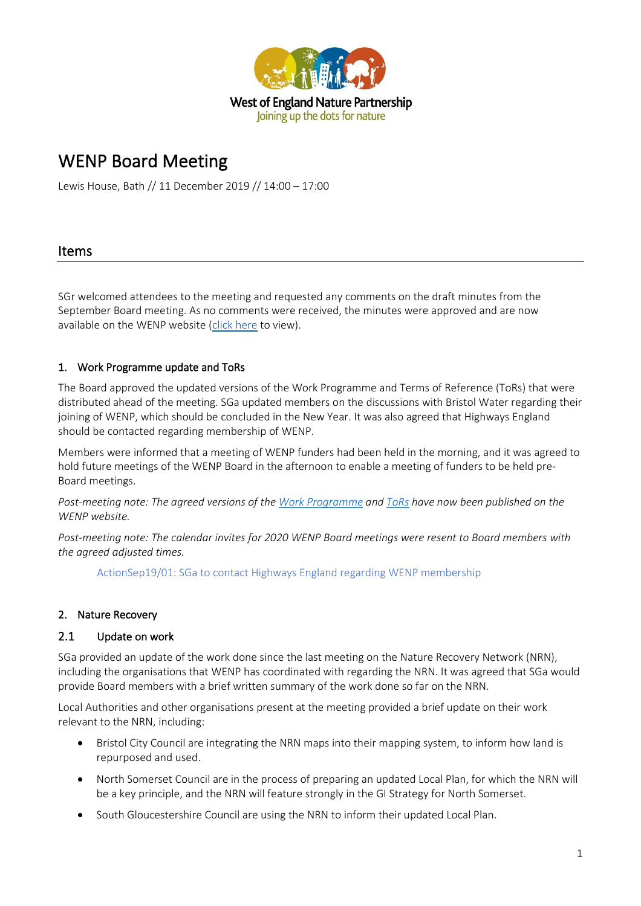

# WENP Board Meeting

Lewis House, Bath // 11 December 2019 // 14:00 – 17:00

#### Items

SGr welcomed attendees to the meeting and requested any comments on the draft minutes from the September Board meeting. As no comments were received, the minutes were approved and are now available on the WENP website [\(click here](http://www.wenp.org.uk/wp-content/uploads/2019/12/2019.09-WENP-Board-Minutes.pdf) to view).

#### 1. Work Programme update and ToRs

The Board approved the updated versions of the Work Programme and Terms of Reference (ToRs) that were distributed ahead of the meeting. SGa updated members on the discussions with Bristol Water regarding their joining of WENP, which should be concluded in the New Year. It was also agreed that Highways England should be contacted regarding membership of WENP.

Members were informed that a meeting of WENP funders had been held in the morning, and it was agreed to hold future meetings of the WENP Board in the afternoon to enable a meeting of funders to be held pre-Board meetings.

*Post-meeting note: The agreed versions of th[e Work Programme](http://www.wenp.org.uk/wp-content/uploads/2019/12/WENP-Work-Programme-2020.pdf) an[d ToRs](http://www.wenp.org.uk/wp-content/uploads/2019/12/WENP-Terms-of-Reference_Dec19.pdf) have now been published on the WENP website.* 

*Post-meeting note: The calendar invites for 2020 WENP Board meetings were resent to Board members with the agreed adjusted times.* 

ActionSep19/01: SGa to contact Highways England regarding WENP membership

#### 2. Nature Recovery

#### 2.1 Update on work

SGa provided an update of the work done since the last meeting on the Nature Recovery Network (NRN), including the organisations that WENP has coordinated with regarding the NRN. It was agreed that SGa would provide Board members with a brief written summary of the work done so far on the NRN.

Local Authorities and other organisations present at the meeting provided a brief update on their work relevant to the NRN, including:

- Bristol City Council are integrating the NRN maps into their mapping system, to inform how land is repurposed and used.
- North Somerset Council are in the process of preparing an updated Local Plan, for which the NRN will be a key principle, and the NRN will feature strongly in the GI Strategy for North Somerset.
- South Gloucestershire Council are using the NRN to inform their updated Local Plan.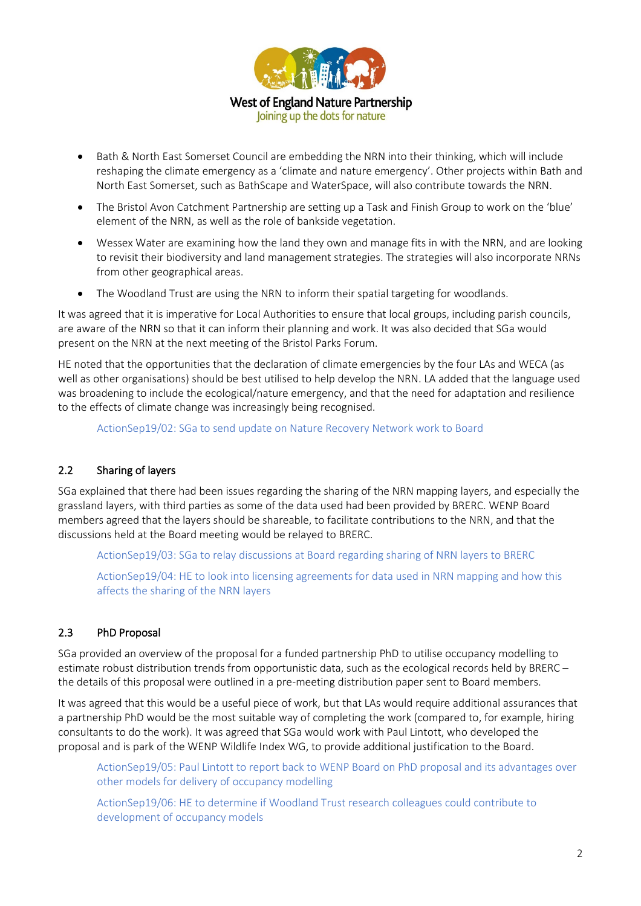

- Bath & North East Somerset Council are embedding the NRN into their thinking, which will include reshaping the climate emergency as a 'climate and nature emergency'. Other projects within Bath and North East Somerset, such as BathScape and WaterSpace, will also contribute towards the NRN.
- The Bristol Avon Catchment Partnership are setting up a Task and Finish Group to work on the 'blue' element of the NRN, as well as the role of bankside vegetation.
- Wessex Water are examining how the land they own and manage fits in with the NRN, and are looking to revisit their biodiversity and land management strategies. The strategies will also incorporate NRNs from other geographical areas.
- The Woodland Trust are using the NRN to inform their spatial targeting for woodlands.

It was agreed that it is imperative for Local Authorities to ensure that local groups, including parish councils, are aware of the NRN so that it can inform their planning and work. It was also decided that SGa would present on the NRN at the next meeting of the Bristol Parks Forum.

HE noted that the opportunities that the declaration of climate emergencies by the four LAs and WECA (as well as other organisations) should be best utilised to help develop the NRN. LA added that the language used was broadening to include the ecological/nature emergency, and that the need for adaptation and resilience to the effects of climate change was increasingly being recognised.

ActionSep19/02: SGa to send update on Nature Recovery Network work to Board

#### 2.2 Sharing of layers

SGa explained that there had been issues regarding the sharing of the NRN mapping layers, and especially the grassland layers, with third parties as some of the data used had been provided by BRERC. WENP Board members agreed that the layers should be shareable, to facilitate contributions to the NRN, and that the discussions held at the Board meeting would be relayed to BRERC.

ActionSep19/03: SGa to relay discussions at Board regarding sharing of NRN layers to BRERC

ActionSep19/04: HE to look into licensing agreements for data used in NRN mapping and how this affects the sharing of the NRN layers

#### 2.3 PhD Proposal

SGa provided an overview of the proposal for a funded partnership PhD to utilise occupancy modelling to estimate robust distribution trends from opportunistic data, such as the ecological records held by BRERC – the details of this proposal were outlined in a pre-meeting distribution paper sent to Board members.

It was agreed that this would be a useful piece of work, but that LAs would require additional assurances that a partnership PhD would be the most suitable way of completing the work (compared to, for example, hiring consultants to do the work). It was agreed that SGa would work with Paul Lintott, who developed the proposal and is park of the WENP Wildlife Index WG, to provide additional justification to the Board.

ActionSep19/05: Paul Lintott to report back to WENP Board on PhD proposal and its advantages over other models for delivery of occupancy modelling

ActionSep19/06: HE to determine if Woodland Trust research colleagues could contribute to development of occupancy models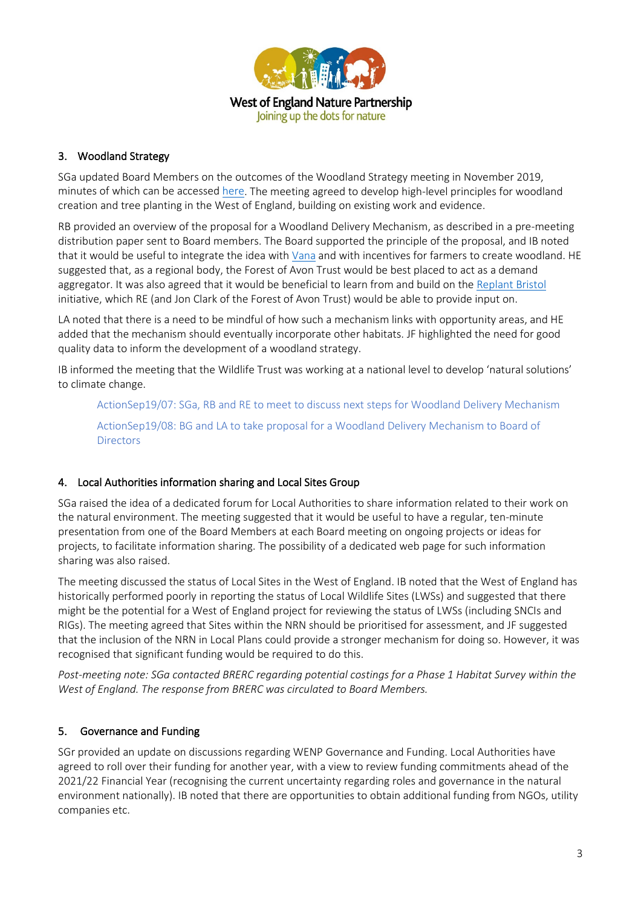

#### 3. Woodland Strategy

SGa updated Board Members on the outcomes of the Woodland Strategy meeting in November 2019, minutes of which can be accessed [here.](http://www.wenp.org.uk/wp-content/uploads/2019/11/WoE-TW-Strategy-KO-Notes.pdf) The meeting agreed to develop high-level principles for woodland creation and tree planting in the West of England, building on existing work and evidence.

RB provided an overview of the proposal for a Woodland Delivery Mechanism, as described in a pre-meeting distribution paper sent to Board members. The Board supported the principle of the proposal, and IB noted that it would be useful to integrate the idea with [Vana](https://bristolgreencapital.org/seeing-wood-trees-corporate-transparency/) and with incentives for farmers to create woodland. HE suggested that, as a regional body, the Forest of Avon Trust would be best placed to act as a demand aggregator. It was also agreed that it would be beneficial to learn from and build on the [Replant Bristol](https://forestofavontrust.org/replant-bristol) initiative, which RE (and Jon Clark of the Forest of Avon Trust) would be able to provide input on.

LA noted that there is a need to be mindful of how such a mechanism links with opportunity areas, and HE added that the mechanism should eventually incorporate other habitats. JF highlighted the need for good quality data to inform the development of a woodland strategy.

IB informed the meeting that the Wildlife Trust was working at a national level to develop 'natural solutions' to climate change.

ActionSep19/07: SGa, RB and RE to meet to discuss next steps for Woodland Delivery Mechanism ActionSep19/08: BG and LA to take proposal for a Woodland Delivery Mechanism to Board of **Directors** 

#### 4. Local Authorities information sharing and Local Sites Group

SGa raised the idea of a dedicated forum for Local Authorities to share information related to their work on the natural environment. The meeting suggested that it would be useful to have a regular, ten-minute presentation from one of the Board Members at each Board meeting on ongoing projects or ideas for projects, to facilitate information sharing. The possibility of a dedicated web page for such information sharing was also raised.

The meeting discussed the status of Local Sites in the West of England. IB noted that the West of England has historically performed poorly in reporting the status of Local Wildlife Sites (LWSs) and suggested that there might be the potential for a West of England project for reviewing the status of LWSs (including SNCIs and RIGs). The meeting agreed that Sites within the NRN should be prioritised for assessment, and JF suggested that the inclusion of the NRN in Local Plans could provide a stronger mechanism for doing so. However, it was recognised that significant funding would be required to do this.

*Post-meeting note: SGa contacted BRERC regarding potential costings for a Phase 1 Habitat Survey within the West of England. The response from BRERC was circulated to Board Members.*

#### 5. Governance and Funding

SGr provided an update on discussions regarding WENP Governance and Funding. Local Authorities have agreed to roll over their funding for another year, with a view to review funding commitments ahead of the 2021/22 Financial Year (recognising the current uncertainty regarding roles and governance in the natural environment nationally). IB noted that there are opportunities to obtain additional funding from NGOs, utility companies etc.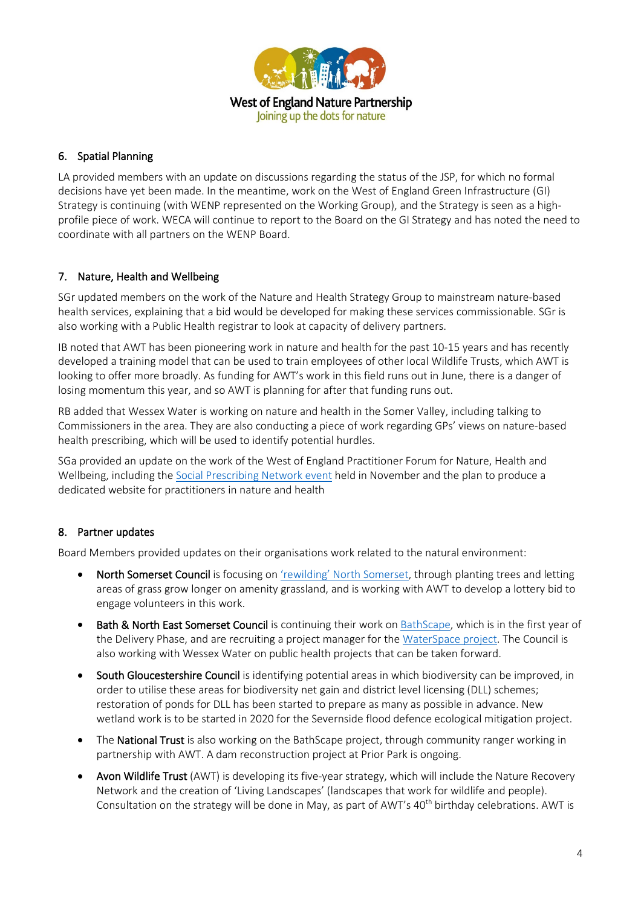

#### 6. Spatial Planning

LA provided members with an update on discussions regarding the status of the JSP, for which no formal decisions have yet been made. In the meantime, work on the West of England Green Infrastructure (GI) Strategy is continuing (with WENP represented on the Working Group), and the Strategy is seen as a highprofile piece of work. WECA will continue to report to the Board on the GI Strategy and has noted the need to coordinate with all partners on the WENP Board.

#### 7. Nature, Health and Wellbeing

SGr updated members on the work of the Nature and Health Strategy Group to mainstream nature-based health services, explaining that a bid would be developed for making these services commissionable. SGr is also working with a Public Health registrar to look at capacity of delivery partners.

IB noted that AWT has been pioneering work in nature and health for the past 10-15 years and has recently developed a training model that can be used to train employees of other local Wildlife Trusts, which AWT is looking to offer more broadly. As funding for AWT's work in this field runs out in June, there is a danger of losing momentum this year, and so AWT is planning for after that funding runs out.

RB added that Wessex Water is working on nature and health in the Somer Valley, including talking to Commissioners in the area. They are also conducting a piece of work regarding GPs' views on nature-based health prescribing, which will be used to identify potential hurdles.

SGa provided an update on the work of the West of England Practitioner Forum for Nature, Health and Wellbeing, including the [Social Prescribing Network event](http://www.wenp.org.uk/2019/building-a-social-prescribing-network-in-the-west-of-england/) held in November and the plan to produce a dedicated website for practitioners in nature and health

#### 8. Partner updates

Board Members provided updates on their organisations work related to the natural environment:

- North Somerset Council is focusing on ['rewilding' North Somerset,](https://www.n-somerset.gov.uk/my-services/leisure/parks-countryside/rewilding/rewilding-in-north-somerset/) through planting trees and letting areas of grass grow longer on amenity grassland, and is working with AWT to develop a lottery bid to engage volunteers in this work.
- **Bath & North East Somerset Council** is continuing their work on [BathScape,](https://www.bathnes.gov.uk/services/environment/green-infrastructure/bathscape) which is in the first year of the Delivery Phase, and are recruiting a project manager for th[e WaterSpace project.](https://www.bathnes.gov.uk/services/environment/river-safety/rivers-canals/water-space-study) The Council is also working with Wessex Water on public health projects that can be taken forward.
- South Gloucestershire Council is identifying potential areas in which biodiversity can be improved, in order to utilise these areas for biodiversity net gain and district level licensing (DLL) schemes; restoration of ponds for DLL has been started to prepare as many as possible in advance. New wetland work is to be started in 2020 for the Severnside flood defence ecological mitigation project.
- The National Trust is also working on the BathScape project, through community ranger working in partnership with AWT. A dam reconstruction project at Prior Park is ongoing.
- Avon Wildlife Trust (AWT) is developing its five-year strategy, which will include the Nature Recovery Network and the creation of 'Living Landscapes' (landscapes that work for wildlife and people). Consultation on the strategy will be done in May, as part of AWT's 40<sup>th</sup> birthday celebrations. AWT is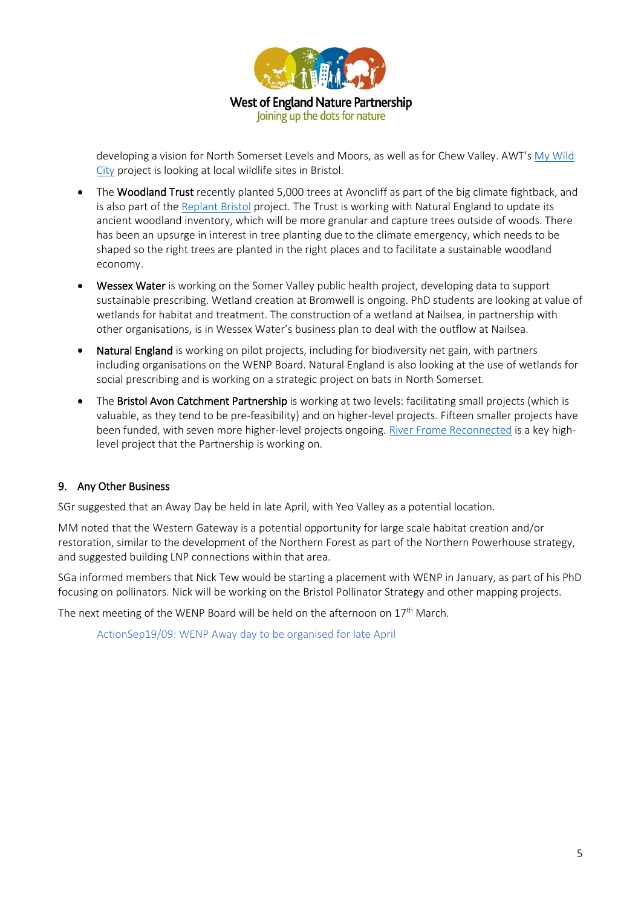

developing a vision for North Somerset Levels and Moors, as well as for Chew Valley. AWT's [My Wild](https://www.avonwildlifetrust.org.uk/mywildcity)  [City](https://www.avonwildlifetrust.org.uk/mywildcity) project is looking at local wildlife sites in Bristol.

- The Woodland Trust recently planted 5,000 trees at Avoncliff as part of the big climate fightback, and is also part of th[e Replant Bristol](https://forestofavontrust.org/replant-bristol) project. The Trust is working with Natural England to update its ancient woodland inventory, which will be more granular and capture trees outside of woods. There has been an upsurge in interest in tree planting due to the climate emergency, which needs to be shaped so the right trees are planted in the right places and to facilitate a sustainable woodland economy.
- Wessex Water is working on the Somer Valley public health project, developing data to support sustainable prescribing. Wetland creation at Bromwell is ongoing. PhD students are looking at value of wetlands for habitat and treatment. The construction of a wetland at Nailsea, in partnership with other organisations, is in Wessex Water's business plan to deal with the outflow at Nailsea.
- Natural England is working on pilot projects, including for biodiversity net gain, with partners including organisations on the WENP Board. Natural England is also looking at the use of wetlands for social prescribing and is working on a strategic project on bats in North Somerset.
- The Bristol Avon Catchment Partnership is working at two levels: facilitating small projects (which is valuable, as they tend to be pre-feasibility) and on higher-level projects. Fifteen smaller projects have been funded, with seven more higher-level projects ongoing. River [Frome Reconnected](https://www.southglos.gov.uk/environment/frome-reconnected-project/) is a key highlevel project that the Partnership is working on.

#### 9. Any Other Business

SGr suggested that an Away Day be held in late April, with Yeo Valley as a potential location.

MM noted that the Western Gateway is a potential opportunity for large scale habitat creation and/or restoration, similar to the development of the Northern Forest as part of the Northern Powerhouse strategy, and suggested building LNP connections within that area.

SGa informed members that Nick Tew would be starting a placement with WENP in January, as part of his PhD focusing on pollinators. Nick will be working on the Bristol Pollinator Strategy and other mapping projects.

The next meeting of the WENP Board will be held on the afternoon on 17<sup>th</sup> March.

ActionSep19/09: WENP Away day to be organised for late April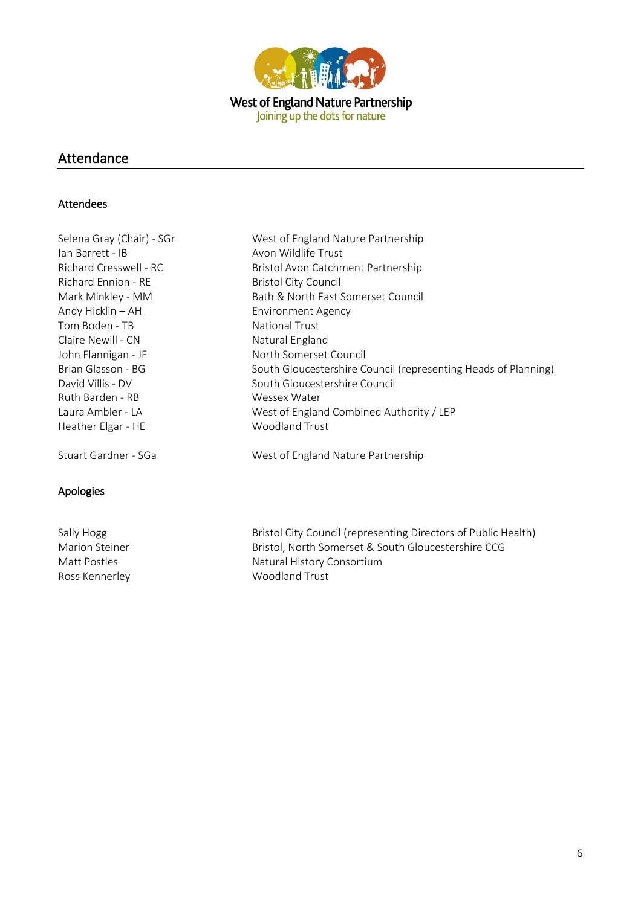

## Attendance

#### Attendees

| Selena Gray (Chair) - SGr | West of England Nature Partnership                             |
|---------------------------|----------------------------------------------------------------|
| Ian Barrett - IB          | Avon Wildlife Trust                                            |
| Richard Cresswell - RC    | Bristol Avon Catchment Partnership                             |
| Richard Ennion - RE       | <b>Bristol City Council</b>                                    |
| Mark Minkley - MM         | Bath & North East Somerset Council                             |
| Andy Hicklin - AH         | <b>Environment Agency</b>                                      |
| Tom Boden - TB            | <b>National Trust</b>                                          |
| Claire Newill - CN        | Natural England                                                |
| John Flannigan - JF       | North Somerset Council                                         |
| Brian Glasson - BG        | South Gloucestershire Council (representing Heads of Planning) |
| David Villis - DV         | South Gloucestershire Council                                  |
| Ruth Barden - RB          | Wessex Water                                                   |
| Laura Ambler - LA         | West of England Combined Authority / LEP                       |
| Heather Elgar - HE        | <b>Woodland Trust</b>                                          |
| Stuart Gardner - SGa      | West of England Nature Partnership                             |
|                           |                                                                |

### Apologies

Ross Kennerley Moodland Trust

Sally Hogg Sally Hogg Bristol City Council (representing Directors of Public Health) Marion Steiner **Bristol, North Somerset & South Gloucestershire CCG** Matt Postles **Natural History Consortium**